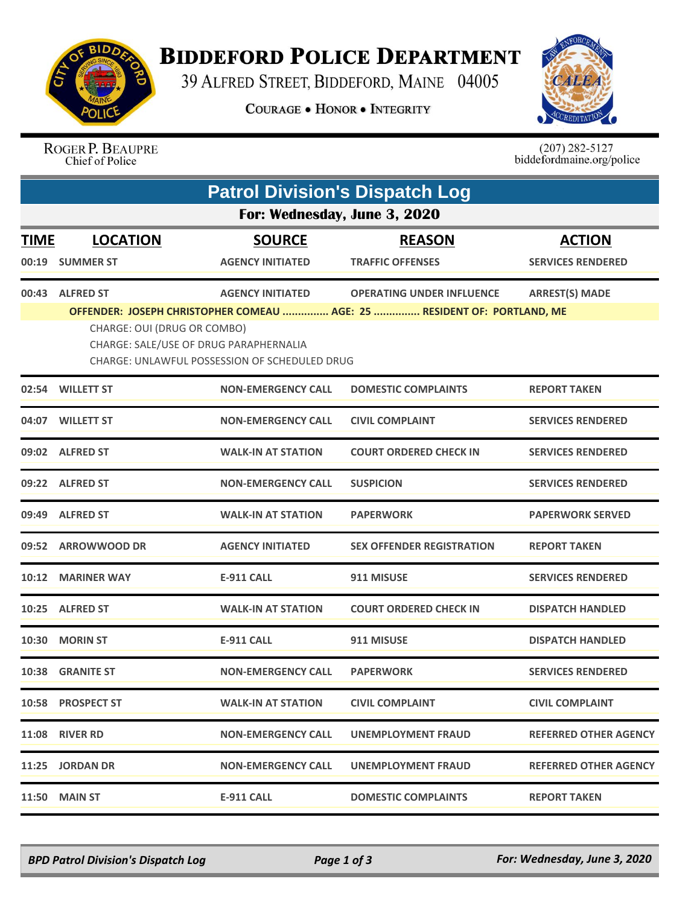

## **BIDDEFORD POLICE DEPARTMENT**

39 ALFRED STREET, BIDDEFORD, MAINE 04005

**COURAGE . HONOR . INTEGRITY** 



## ROGER P. BEAUPRE Chief of Police

 $(207)$  282-5127<br>biddefordmaine.org/police

|             | <b>Patrol Division's Dispatch Log</b> |                                                                                         |                                                                         |                              |  |  |  |  |
|-------------|---------------------------------------|-----------------------------------------------------------------------------------------|-------------------------------------------------------------------------|------------------------------|--|--|--|--|
|             | For: Wednesday, June 3, 2020          |                                                                                         |                                                                         |                              |  |  |  |  |
| <b>TIME</b> | <b>LOCATION</b>                       | <b>SOURCE</b>                                                                           | <b>REASON</b>                                                           | <b>ACTION</b>                |  |  |  |  |
| 00:19       | <b>SUMMER ST</b>                      | <b>AGENCY INITIATED</b>                                                                 | <b>TRAFFIC OFFENSES</b>                                                 | <b>SERVICES RENDERED</b>     |  |  |  |  |
| 00:43       | <b>ALFRED ST</b>                      | <b>AGENCY INITIATED</b>                                                                 | <b>OPERATING UNDER INFLUENCE</b>                                        | <b>ARREST(S) MADE</b>        |  |  |  |  |
|             | CHARGE: OUI (DRUG OR COMBO)           | CHARGE: SALE/USE OF DRUG PARAPHERNALIA<br>CHARGE: UNLAWFUL POSSESSION OF SCHEDULED DRUG | OFFENDER: JOSEPH CHRISTOPHER COMEAU  AGE: 25  RESIDENT OF: PORTLAND, ME |                              |  |  |  |  |
| 02:54       | <b>WILLETT ST</b>                     | <b>NON-EMERGENCY CALL</b>                                                               | <b>DOMESTIC COMPLAINTS</b>                                              | <b>REPORT TAKEN</b>          |  |  |  |  |
| 04:07       | <b>WILLETT ST</b>                     | <b>NON-EMERGENCY CALL</b>                                                               | <b>CIVIL COMPLAINT</b>                                                  | <b>SERVICES RENDERED</b>     |  |  |  |  |
|             | 09:02 ALFRED ST                       | <b>WALK-IN AT STATION</b>                                                               | <b>COURT ORDERED CHECK IN</b>                                           | <b>SERVICES RENDERED</b>     |  |  |  |  |
|             | 09:22 ALFRED ST                       | <b>NON-EMERGENCY CALL</b>                                                               | <b>SUSPICION</b>                                                        | <b>SERVICES RENDERED</b>     |  |  |  |  |
|             | 09:49 ALFRED ST                       | <b>WALK-IN AT STATION</b>                                                               | <b>PAPERWORK</b>                                                        | <b>PAPERWORK SERVED</b>      |  |  |  |  |
| 09:52       | <b>ARROWWOOD DR</b>                   | <b>AGENCY INITIATED</b>                                                                 | <b>SEX OFFENDER REGISTRATION</b>                                        | <b>REPORT TAKEN</b>          |  |  |  |  |
| 10:12       | <b>MARINER WAY</b>                    | <b>E-911 CALL</b>                                                                       | 911 MISUSE                                                              | <b>SERVICES RENDERED</b>     |  |  |  |  |
| 10:25       | <b>ALFRED ST</b>                      | <b>WALK-IN AT STATION</b>                                                               | <b>COURT ORDERED CHECK IN</b>                                           | <b>DISPATCH HANDLED</b>      |  |  |  |  |
| 10:30       | <b>MORIN ST</b>                       | <b>E-911 CALL</b>                                                                       | 911 MISUSE                                                              | <b>DISPATCH HANDLED</b>      |  |  |  |  |
| 10:38       | <b>GRANITE ST</b>                     | <b>NON-EMERGENCY CALL</b>                                                               | <b>PAPERWORK</b>                                                        | <b>SERVICES RENDERED</b>     |  |  |  |  |
|             | 10:58 PROSPECT ST                     | <b>WALK-IN AT STATION</b>                                                               | <b>CIVIL COMPLAINT</b>                                                  | <b>CIVIL COMPLAINT</b>       |  |  |  |  |
|             | <b>11:08 RIVER RD</b>                 | <b>NON-EMERGENCY CALL</b>                                                               | UNEMPLOYMENT FRAUD                                                      | <b>REFERRED OTHER AGENCY</b> |  |  |  |  |
|             | 11:25 JORDAN DR                       | <b>NON-EMERGENCY CALL</b>                                                               | UNEMPLOYMENT FRAUD                                                      | <b>REFERRED OTHER AGENCY</b> |  |  |  |  |
|             | <b>11:50 MAIN ST</b>                  | E-911 CALL                                                                              | <b>DOMESTIC COMPLAINTS</b>                                              | <b>REPORT TAKEN</b>          |  |  |  |  |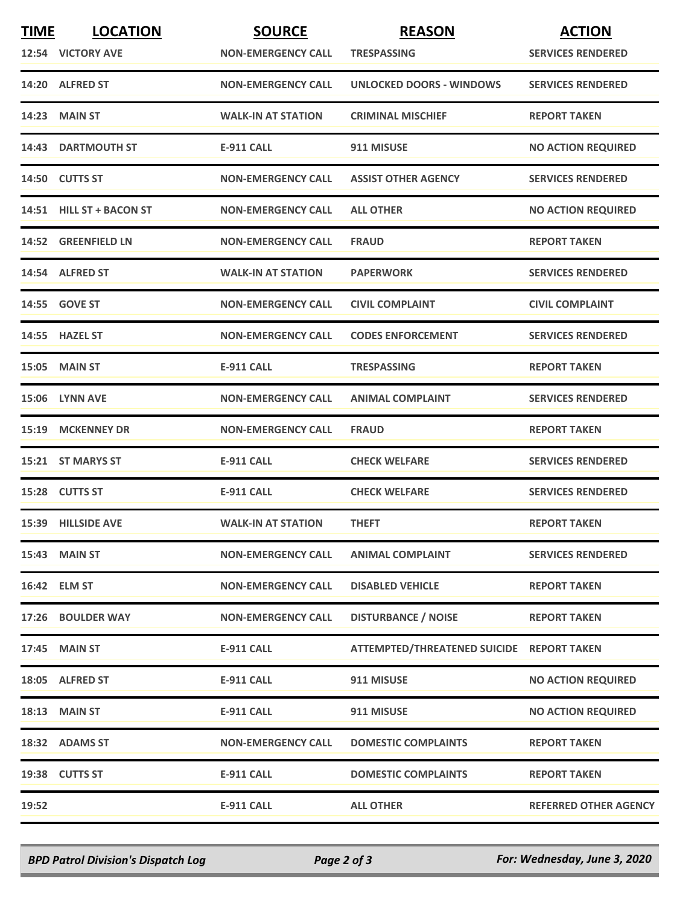| <b>TIME</b> | <b>LOCATION</b><br>12:54 VICTORY AVE | <b>SOURCE</b><br><b>NON-EMERGENCY CALL</b> | <b>REASON</b><br><b>TRESPASSING</b>       | <b>ACTION</b><br><b>SERVICES RENDERED</b> |
|-------------|--------------------------------------|--------------------------------------------|-------------------------------------------|-------------------------------------------|
|             | 14:20 ALFRED ST                      | <b>NON-EMERGENCY CALL</b>                  | <b>UNLOCKED DOORS - WINDOWS</b>           | <b>SERVICES RENDERED</b>                  |
|             | <b>14:23 MAIN ST</b>                 | <b>WALK-IN AT STATION</b>                  | <b>CRIMINAL MISCHIEF</b>                  | <b>REPORT TAKEN</b>                       |
|             | <b>14:43 DARTMOUTH ST</b>            | <b>E-911 CALL</b>                          | 911 MISUSE                                | <b>NO ACTION REQUIRED</b>                 |
|             | 14:50 CUTTS ST                       | <b>NON-EMERGENCY CALL</b>                  | <b>ASSIST OTHER AGENCY</b>                | <b>SERVICES RENDERED</b>                  |
|             | 14:51 HILL ST + BACON ST             | <b>NON-EMERGENCY CALL</b>                  | <b>ALL OTHER</b>                          | <b>NO ACTION REQUIRED</b>                 |
|             | 14:52 GREENFIELD LN                  | <b>NON-EMERGENCY CALL</b>                  | <b>FRAUD</b>                              | <b>REPORT TAKEN</b>                       |
|             | 14:54 ALFRED ST                      | <b>WALK-IN AT STATION</b>                  | <b>PAPERWORK</b>                          | <b>SERVICES RENDERED</b>                  |
|             | 14:55 GOVE ST                        | <b>NON-EMERGENCY CALL</b>                  | <b>CIVIL COMPLAINT</b>                    | <b>CIVIL COMPLAINT</b>                    |
|             | 14:55 HAZEL ST                       | <b>NON-EMERGENCY CALL</b>                  | <b>CODES ENFORCEMENT</b>                  | <b>SERVICES RENDERED</b>                  |
|             | <b>15:05 MAIN ST</b>                 | <b>E-911 CALL</b>                          | <b>TRESPASSING</b>                        | <b>REPORT TAKEN</b>                       |
|             | 15:06 LYNN AVE                       | <b>NON-EMERGENCY CALL</b>                  | <b>ANIMAL COMPLAINT</b>                   | <b>SERVICES RENDERED</b>                  |
|             | 15:19 MCKENNEY DR                    | <b>NON-EMERGENCY CALL</b>                  | <b>FRAUD</b>                              | <b>REPORT TAKEN</b>                       |
|             | 15:21 ST MARYS ST                    | E-911 CALL                                 | <b>CHECK WELFARE</b>                      | <b>SERVICES RENDERED</b>                  |
|             | 15:28 CUTTS ST                       | E-911 CALL                                 | <b>CHECK WELFARE</b>                      | <b>SERVICES RENDERED</b>                  |
|             | 15:39 HILLSIDE AVE                   | <b>WALK-IN AT STATION</b>                  | <b>THEFT</b>                              | <b>REPORT TAKEN</b>                       |
|             | <b>15:43 MAIN ST</b>                 | <b>NON-EMERGENCY CALL</b>                  | <b>ANIMAL COMPLAINT</b>                   | <b>SERVICES RENDERED</b>                  |
|             | 16:42 ELM ST                         | <b>NON-EMERGENCY CALL</b>                  | <b>DISABLED VEHICLE</b>                   | <b>REPORT TAKEN</b>                       |
|             | 17:26 BOULDER WAY                    | <b>NON-EMERGENCY CALL</b>                  | <b>DISTURBANCE / NOISE</b>                | <b>REPORT TAKEN</b>                       |
|             | 17:45 MAIN ST                        | <b>E-911 CALL</b>                          | ATTEMPTED/THREATENED SUICIDE REPORT TAKEN |                                           |
|             | 18:05 ALFRED ST                      | <b>E-911 CALL</b>                          | 911 MISUSE                                | <b>NO ACTION REQUIRED</b>                 |
|             | 18:13 MAIN ST                        | <b>E-911 CALL</b>                          | 911 MISUSE                                | <b>NO ACTION REQUIRED</b>                 |
|             | 18:32 ADAMS ST                       | <b>NON-EMERGENCY CALL</b>                  | <b>DOMESTIC COMPLAINTS</b>                | <b>REPORT TAKEN</b>                       |
|             | 19:38 CUTTS ST                       | <b>E-911 CALL</b>                          | <b>DOMESTIC COMPLAINTS</b>                | <b>REPORT TAKEN</b>                       |
| 19:52       |                                      | E-911 CALL                                 | <b>ALL OTHER</b>                          | <b>REFERRED OTHER AGENCY</b>              |

*BPD Patrol Division's Dispatch Log Page 2 of 3 For: Wednesday, June 3, 2020*